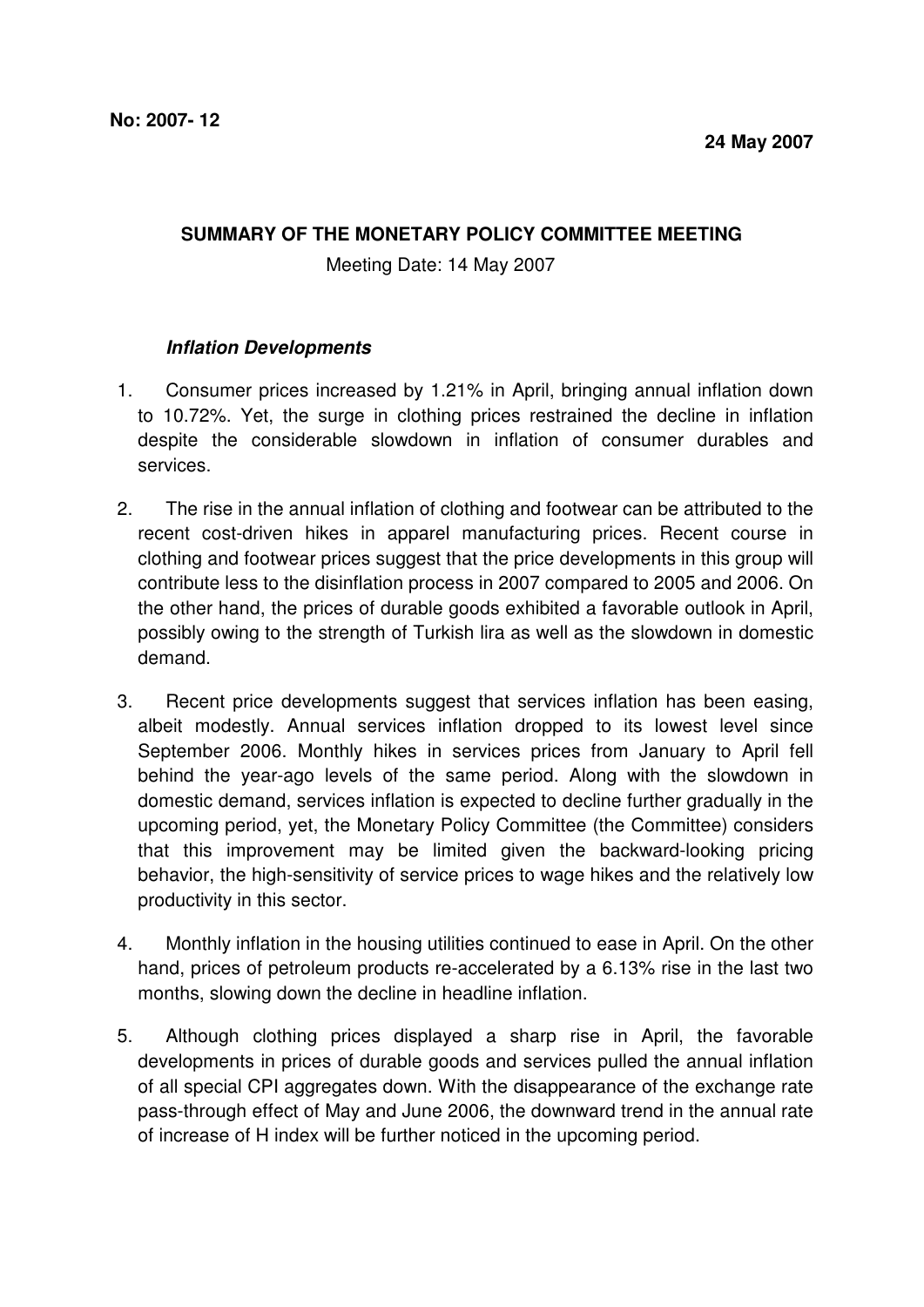## **SUMMARY OF THE MONETARY POLICY COMMITTEE MEETING**

Meeting Date: 14 May 2007

## **Inflation Developments**

- 1. Consumer prices increased by 1.21% in April, bringing annual inflation down to 10.72%. Yet, the surge in clothing prices restrained the decline in inflation despite the considerable slowdown in inflation of consumer durables and services.
- 2. The rise in the annual inflation of clothing and footwear can be attributed to the recent cost-driven hikes in apparel manufacturing prices. Recent course in clothing and footwear prices suggest that the price developments in this group will contribute less to the disinflation process in 2007 compared to 2005 and 2006. On the other hand, the prices of durable goods exhibited a favorable outlook in April, possibly owing to the strength of Turkish lira as well as the slowdown in domestic demand.
- 3. Recent price developments suggest that services inflation has been easing, albeit modestly. Annual services inflation dropped to its lowest level since September 2006. Monthly hikes in services prices from January to April fell behind the year-ago levels of the same period. Along with the slowdown in domestic demand, services inflation is expected to decline further gradually in the upcoming period, yet, the Monetary Policy Committee (the Committee) considers that this improvement may be limited given the backward-looking pricing behavior, the high-sensitivity of service prices to wage hikes and the relatively low productivity in this sector.
- 4. Monthly inflation in the housing utilities continued to ease in April. On the other hand, prices of petroleum products re-accelerated by a 6.13% rise in the last two months, slowing down the decline in headline inflation.
- 5. Although clothing prices displayed a sharp rise in April, the favorable developments in prices of durable goods and services pulled the annual inflation of all special CPI aggregates down. With the disappearance of the exchange rate pass-through effect of May and June 2006, the downward trend in the annual rate of increase of H index will be further noticed in the upcoming period.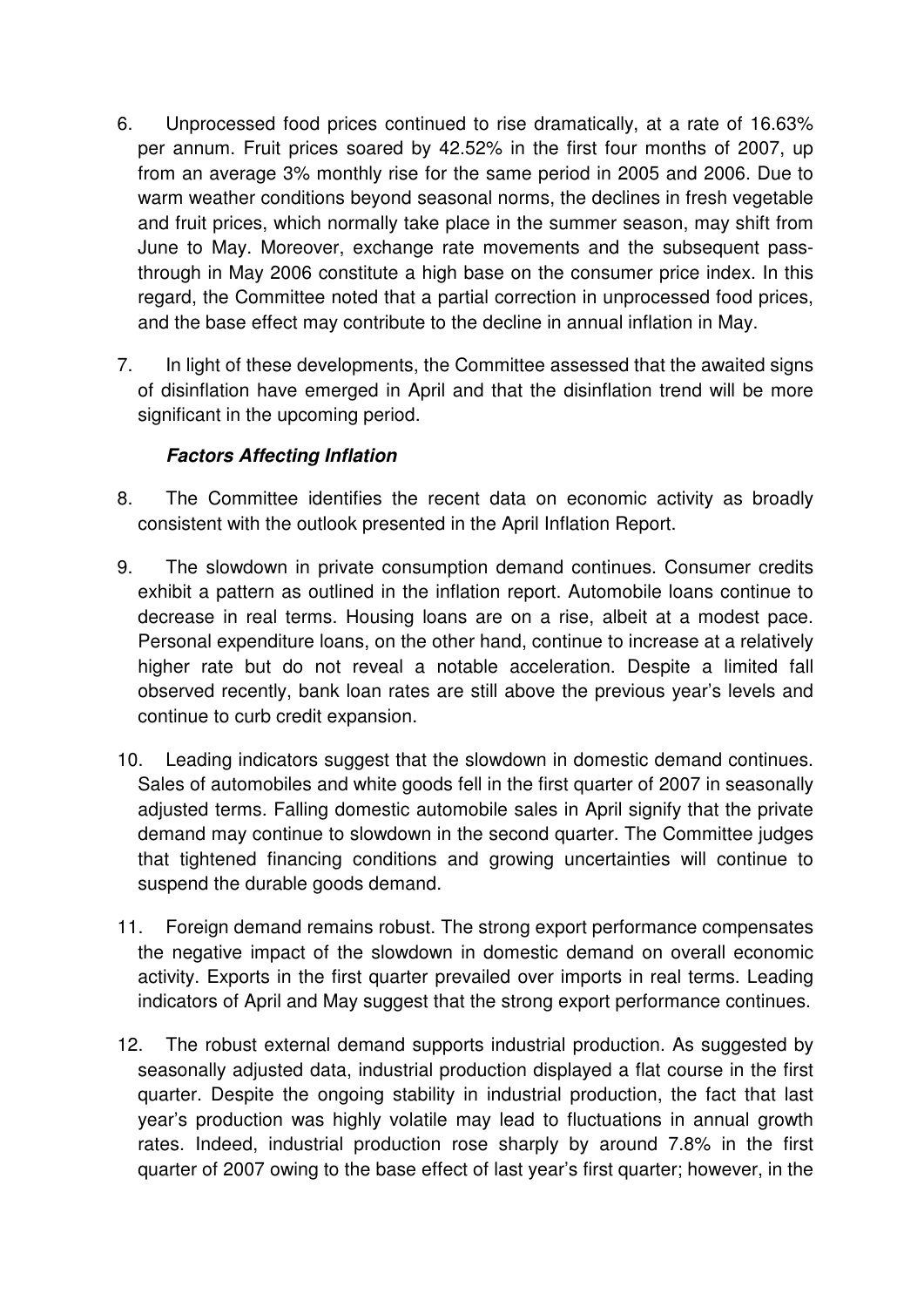- 6. Unprocessed food prices continued to rise dramatically, at a rate of 16.63% per annum. Fruit prices soared by 42.52% in the first four months of 2007, up from an average 3% monthly rise for the same period in 2005 and 2006. Due to warm weather conditions beyond seasonal norms, the declines in fresh vegetable and fruit prices, which normally take place in the summer season, may shift from June to May. Moreover, exchange rate movements and the subsequent passthrough in May 2006 constitute a high base on the consumer price index. In this regard, the Committee noted that a partial correction in unprocessed food prices, and the base effect may contribute to the decline in annual inflation in May.
- 7. In light of these developments, the Committee assessed that the awaited signs of disinflation have emerged in April and that the disinflation trend will be more significant in the upcoming period.

## **Factors Affecting Inflation**

- 8. The Committee identifies the recent data on economic activity as broadly consistent with the outlook presented in the April Inflation Report.
- 9. The slowdown in private consumption demand continues. Consumer credits exhibit a pattern as outlined in the inflation report. Automobile loans continue to decrease in real terms. Housing loans are on a rise, albeit at a modest pace. Personal expenditure loans, on the other hand, continue to increase at a relatively higher rate but do not reveal a notable acceleration. Despite a limited fall observed recently, bank loan rates are still above the previous year's levels and continue to curb credit expansion.
- 10. Leading indicators suggest that the slowdown in domestic demand continues. Sales of automobiles and white goods fell in the first quarter of 2007 in seasonally adjusted terms. Falling domestic automobile sales in April signify that the private demand may continue to slowdown in the second quarter. The Committee judges that tightened financing conditions and growing uncertainties will continue to suspend the durable goods demand.
- 11. Foreign demand remains robust. The strong export performance compensates the negative impact of the slowdown in domestic demand on overall economic activity. Exports in the first quarter prevailed over imports in real terms. Leading indicators of April and May suggest that the strong export performance continues.
- 12. The robust external demand supports industrial production. As suggested by seasonally adjusted data, industrial production displayed a flat course in the first quarter. Despite the ongoing stability in industrial production, the fact that last year's production was highly volatile may lead to fluctuations in annual growth rates. Indeed, industrial production rose sharply by around 7.8% in the first quarter of 2007 owing to the base effect of last year's first quarter; however, in the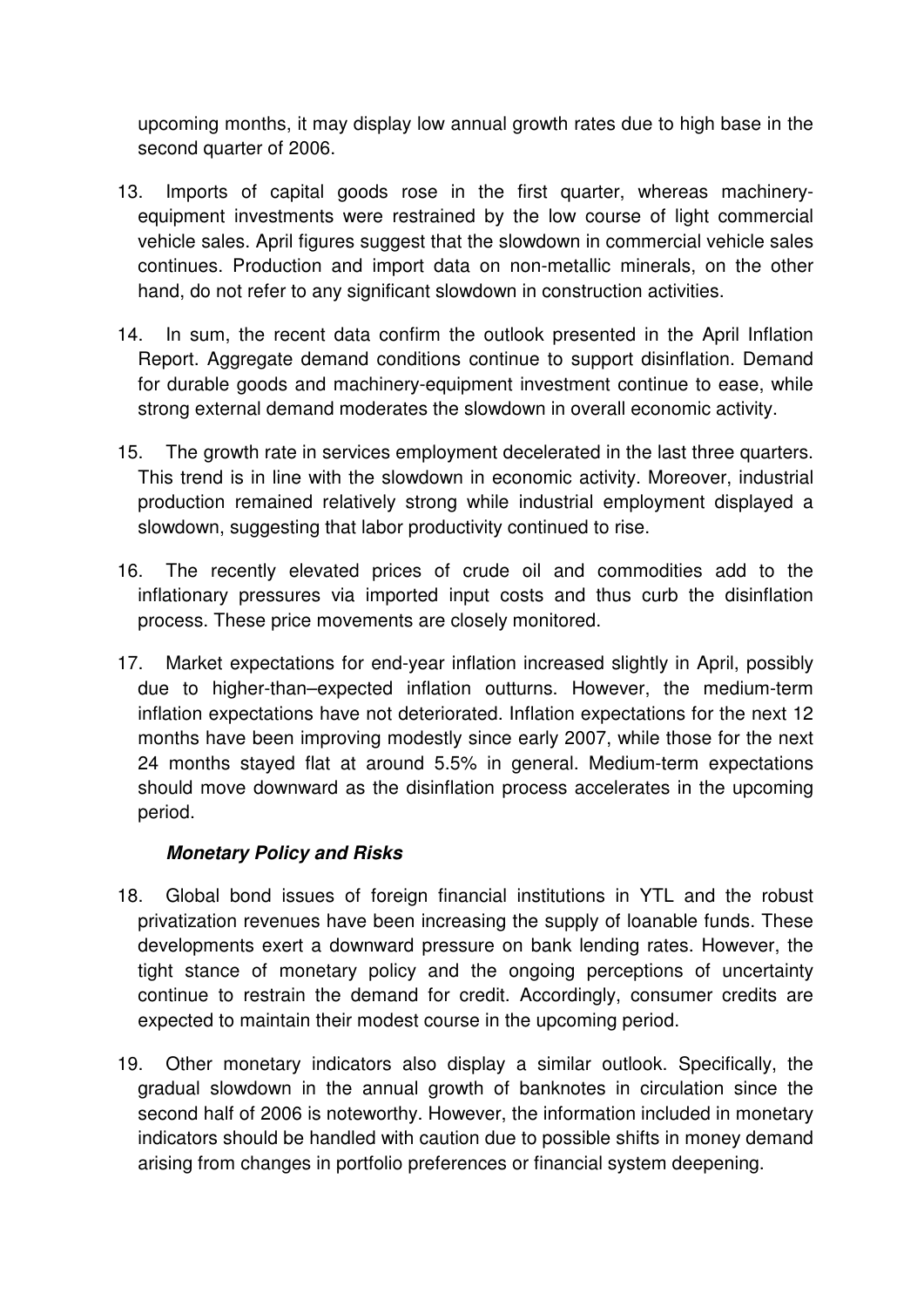upcoming months, it may display low annual growth rates due to high base in the second quarter of 2006.

- 13. Imports of capital goods rose in the first quarter, whereas machineryequipment investments were restrained by the low course of light commercial vehicle sales. April figures suggest that the slowdown in commercial vehicle sales continues. Production and import data on non-metallic minerals, on the other hand, do not refer to any significant slowdown in construction activities.
- 14. In sum, the recent data confirm the outlook presented in the April Inflation Report. Aggregate demand conditions continue to support disinflation. Demand for durable goods and machinery-equipment investment continue to ease, while strong external demand moderates the slowdown in overall economic activity.
- 15. The growth rate in services employment decelerated in the last three quarters. This trend is in line with the slowdown in economic activity. Moreover, industrial production remained relatively strong while industrial employment displayed a slowdown, suggesting that labor productivity continued to rise.
- 16. The recently elevated prices of crude oil and commodities add to the inflationary pressures via imported input costs and thus curb the disinflation process. These price movements are closely monitored.
- 17. Market expectations for end-year inflation increased slightly in April, possibly due to higher-than–expected inflation outturns. However, the medium-term inflation expectations have not deteriorated. Inflation expectations for the next 12 months have been improving modestly since early 2007, while those for the next 24 months stayed flat at around 5.5% in general. Medium-term expectations should move downward as the disinflation process accelerates in the upcoming period.

## **Monetary Policy and Risks**

- 18. Global bond issues of foreign financial institutions in YTL and the robust privatization revenues have been increasing the supply of loanable funds. These developments exert a downward pressure on bank lending rates. However, the tight stance of monetary policy and the ongoing perceptions of uncertainty continue to restrain the demand for credit. Accordingly, consumer credits are expected to maintain their modest course in the upcoming period.
- 19. Other monetary indicators also display a similar outlook. Specifically, the gradual slowdown in the annual growth of banknotes in circulation since the second half of 2006 is noteworthy. However, the information included in monetary indicators should be handled with caution due to possible shifts in money demand arising from changes in portfolio preferences or financial system deepening.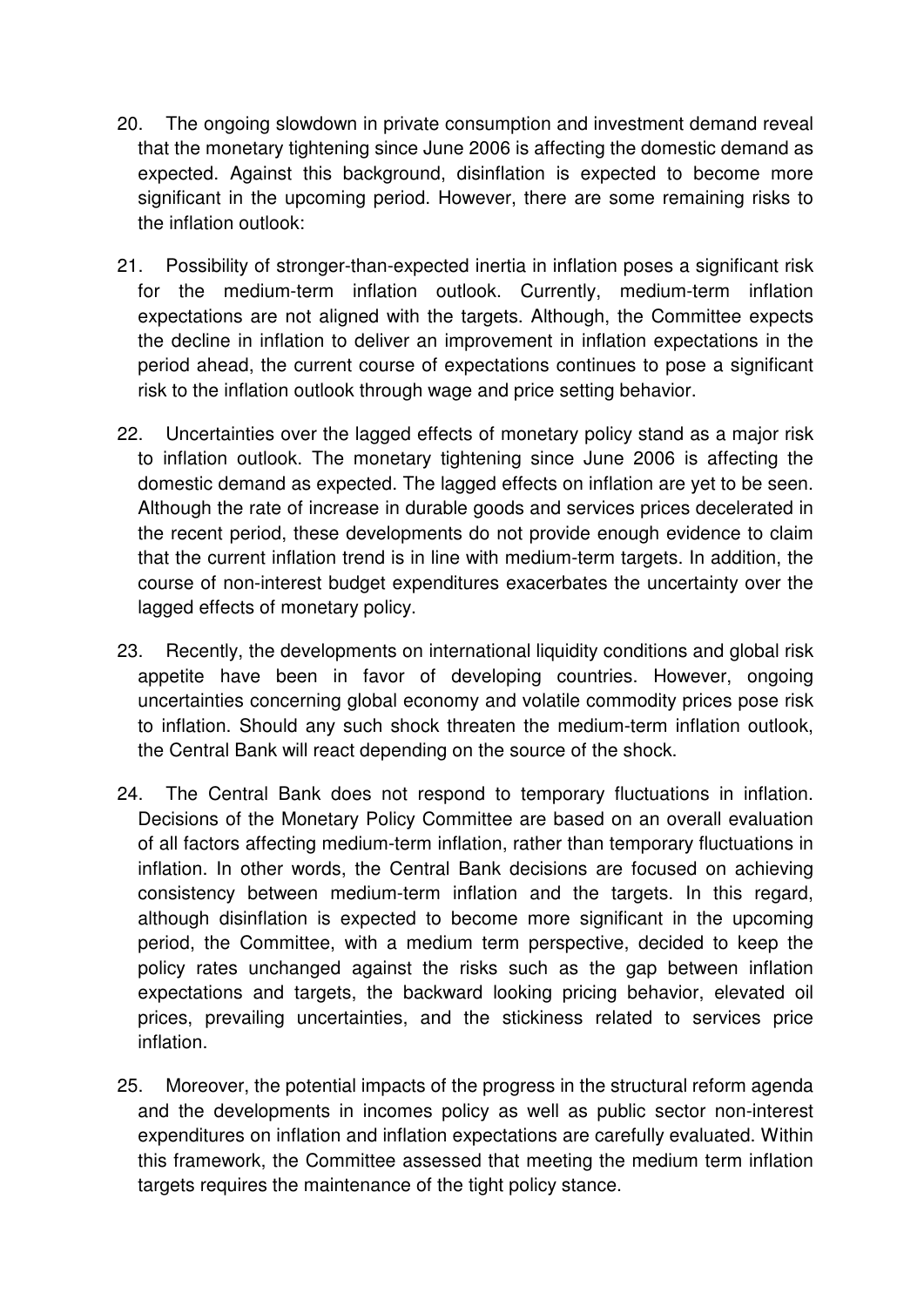- 20. The ongoing slowdown in private consumption and investment demand reveal that the monetary tightening since June 2006 is affecting the domestic demand as expected. Against this background, disinflation is expected to become more significant in the upcoming period. However, there are some remaining risks to the inflation outlook:
- 21. Possibility of stronger-than-expected inertia in inflation poses a significant risk for the medium-term inflation outlook. Currently, medium-term inflation expectations are not aligned with the targets. Although, the Committee expects the decline in inflation to deliver an improvement in inflation expectations in the period ahead, the current course of expectations continues to pose a significant risk to the inflation outlook through wage and price setting behavior.
- 22. Uncertainties over the lagged effects of monetary policy stand as a major risk to inflation outlook. The monetary tightening since June 2006 is affecting the domestic demand as expected. The lagged effects on inflation are yet to be seen. Although the rate of increase in durable goods and services prices decelerated in the recent period, these developments do not provide enough evidence to claim that the current inflation trend is in line with medium-term targets. In addition, the course of non-interest budget expenditures exacerbates the uncertainty over the lagged effects of monetary policy.
- 23. Recently, the developments on international liquidity conditions and global risk appetite have been in favor of developing countries. However, ongoing uncertainties concerning global economy and volatile commodity prices pose risk to inflation. Should any such shock threaten the medium-term inflation outlook, the Central Bank will react depending on the source of the shock.
- 24. The Central Bank does not respond to temporary fluctuations in inflation. Decisions of the Monetary Policy Committee are based on an overall evaluation of all factors affecting medium-term inflation, rather than temporary fluctuations in inflation. In other words, the Central Bank decisions are focused on achieving consistency between medium-term inflation and the targets. In this regard, although disinflation is expected to become more significant in the upcoming period, the Committee, with a medium term perspective, decided to keep the policy rates unchanged against the risks such as the gap between inflation expectations and targets, the backward looking pricing behavior, elevated oil prices, prevailing uncertainties, and the stickiness related to services price inflation.
- 25. Moreover, the potential impacts of the progress in the structural reform agenda and the developments in incomes policy as well as public sector non-interest expenditures on inflation and inflation expectations are carefully evaluated. Within this framework, the Committee assessed that meeting the medium term inflation targets requires the maintenance of the tight policy stance.